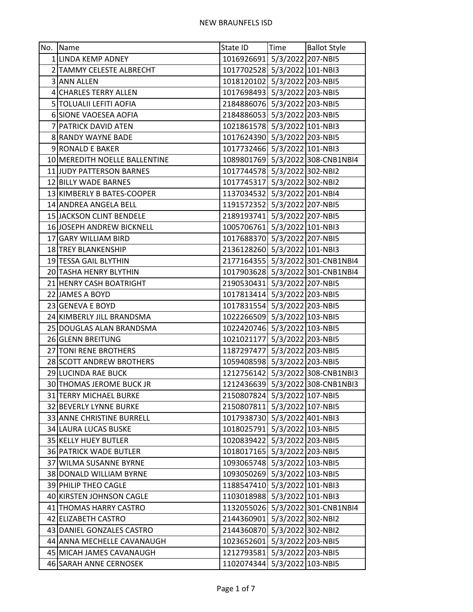| No. Name                      | State ID                     |                   | Time   Ballot Style              |
|-------------------------------|------------------------------|-------------------|----------------------------------|
| 1 LINDA KEMP ADNEY            | 1016926691 5/3/2022 207-NBI5 |                   |                                  |
| 2 TAMMY CELESTE ALBRECHT      | 1017702528 5/3/2022 101-NBI3 |                   |                                  |
| 3 ANN ALLEN                   | 1018120102 5/3/2022 203-NBI5 |                   |                                  |
| 4 CHARLES TERRY ALLEN         | 1017698493 5/3/2022 203-NBI5 |                   |                                  |
| 5 TOLUALII LEFITI AOFIA       | 2184886076 5/3/2022 203-NBI5 |                   |                                  |
| 6 SIONE VAOESEA AOFIA         | 2184886053 5/3/2022 203-NBI5 |                   |                                  |
| 7 PATRICK DAVID ATEN          | 1021861578 5/3/2022 101-NBI3 |                   |                                  |
| 8 RANDY WAYNE BADE            | 1017624390 5/3/2022 203-NBI5 |                   |                                  |
| 9 RONALD E BAKER              | 1017732466 5/3/2022 101-NBI3 |                   |                                  |
| 10 MEREDITH NOELLE BALLENTINE |                              |                   | 1089801769 5/3/2022 308-CNB1NBI4 |
| 11 JUDY PATTERSON BARNES      | 1017744578 5/3/2022 302-NBI2 |                   |                                  |
| 12 BILLY WADE BARNES          | 1017745317 5/3/2022 302-NBI2 |                   |                                  |
| 13 KIMBERLY B BATES-COOPER    | 1137034532 5/3/2022 201-NBI4 |                   |                                  |
| 14 ANDREA ANGELA BELL         | 1191572352 5/3/2022 207-NBI5 |                   |                                  |
| 15 JACKSON CLINT BENDELE      | 2189193741 5/3/2022 207-NBI5 |                   |                                  |
| 16 JOSEPH ANDREW BICKNELL     | 1005706761 5/3/2022 101-NBI3 |                   |                                  |
| 17 GARY WILLIAM BIRD          | 1017688370 5/3/2022 207-NBI5 |                   |                                  |
| 18 TREY BLANKENSHIP           | 2136128260 5/3/2022 101-NBI3 |                   |                                  |
| 19 TESSA GAIL BLYTHIN         |                              |                   | 2177164355 5/3/2022 301-CNB1NBI4 |
| 20 TASHA HENRY BLYTHIN        |                              |                   | 1017903628 5/3/2022 301-CNB1NBI4 |
| 21 HENRY CASH BOATRIGHT       | 2190530431 5/3/2022 207-NBI5 |                   |                                  |
| 22 JAMES A BOYD               | 1017813414 5/3/2022 203-NBI5 |                   |                                  |
| 23 GENEVA E BOYD              | 1017831554 5/3/2022 203-NBI5 |                   |                                  |
| 24 KIMBERLY JILL BRANDSMA     | 1022266509 5/3/2022 103-NBI5 |                   |                                  |
| 25 DOUGLAS ALAN BRANDSMA      | 1022420746 5/3/2022 103-NBI5 |                   |                                  |
| 26 GLENN BREITUNG             | 1021021177 5/3/2022 203-NBI5 |                   |                                  |
| 27 TONI RENE BROTHERS         | 1187297477 5/3/2022 203-NBI5 |                   |                                  |
| 28 SCOTT ANDREW BROTHERS      | 1059408598 5/3/2022 203-NBI5 |                   |                                  |
| 29 LUCINDA RAE BUCK           |                              |                   | 1212756142 5/3/2022 308-CNB1NBI3 |
| 30 THOMAS JEROME BUCK JR      |                              |                   | 1212436639 5/3/2022 308-CNB1NBI3 |
| 31 TERRY MICHAEL BURKE        | 2150807824 5/3/2022 107-NBI5 |                   |                                  |
| 32 BEVERLY LYNNE BURKE        | 2150807811 5/3/2022 107-NBI5 |                   |                                  |
| 33 ANNE CHRISTINE BURRELL     | 1017938730 5/3/2022 401-NBI3 |                   |                                  |
| 34 LAURA LUCAS BUSKE          | 1018025791 5/3/2022 103-NBI5 |                   |                                  |
| 35 KELLY HUEY BUTLER          | 1020839422 5/3/2022 203-NBI5 |                   |                                  |
| <b>36 PATRICK WADE BUTLER</b> | 1018017165 5/3/2022 203-NBI5 |                   |                                  |
| 37 WILMA SUSANNE BYRNE        | 1093065748 5/3/2022 103-NBI5 |                   |                                  |
| 38 DONALD WILLIAM BYRNE       | 1093050269 5/3/2022 103-NBI5 |                   |                                  |
| 39 PHILIP THEO CAGLE          | 1188547410 5/3/2022 101-NBI3 |                   |                                  |
| 40 KIRSTEN JOHNSON CAGLE      | 1103018988 5/3/2022 101-NBI3 |                   |                                  |
| 41 THOMAS HARRY CASTRO        |                              |                   | 1132055026 5/3/2022 301-CNB1NBI4 |
| 42 ELIZABETH CASTRO           | 2144360901 5/3/2022 302-NBI2 |                   |                                  |
| 43 DANIEL GONZALES CASTRO     | 2144360870                   | 5/3/2022 302-NBI2 |                                  |
| 44 ANNA MECHELLE CAVANAUGH    | 1023652601 5/3/2022 203-NBI5 |                   |                                  |
| 45 MICAH JAMES CAVANAUGH      | 1212793581 5/3/2022 203-NBI5 |                   |                                  |
| 46 SARAH ANNE CERNOSEK        | 1102074344 5/3/2022 103-NBI5 |                   |                                  |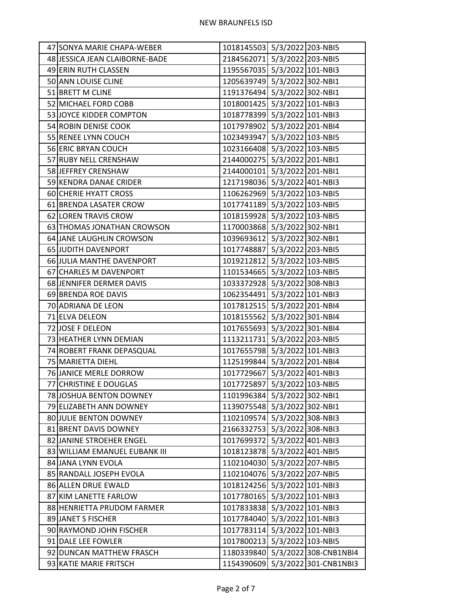| 47 SONYA MARIE CHAPA-WEBER     | 1018145503 5/3/2022 203-NBI5 |                                  |
|--------------------------------|------------------------------|----------------------------------|
| 48 JESSICA JEAN CLAIBORNE-BADE | 2184562071 5/3/2022 203-NBI5 |                                  |
| 49 ERIN RUTH CLASSEN           | 1195567035 5/3/2022 101-NBI3 |                                  |
| 50 ANN LOUISE CLINE            | 1205639749 5/3/2022 302-NBI1 |                                  |
| 51 BRETT M CLINE               | 1191376494 5/3/2022 302-NBI1 |                                  |
| 52 MICHAEL FORD COBB           | 1018001425 5/3/2022 101-NBI3 |                                  |
| 53 JOYCE KIDDER COMPTON        | 1018778399 5/3/2022 101-NBI3 |                                  |
| 54 ROBIN DENISE COOK           | 1017978902 5/3/2022 201-NBI4 |                                  |
| 55 RENEE LYNN COUCH            | 1023493947 5/3/2022 103-NBI5 |                                  |
| 56 ERIC BRYAN COUCH            | 1023166408 5/3/2022 103-NBI5 |                                  |
| 57 RUBY NELL CRENSHAW          | 2144000275 5/3/2022 201-NBI1 |                                  |
| 58 JEFFREY CRENSHAW            | 2144000101 5/3/2022 201-NBI1 |                                  |
| 59 KENDRA DANAE CRIDER         | 1217198036 5/3/2022 401-NBI3 |                                  |
| 60 CHERIE HYATT CROSS          | 1106262969 5/3/2022 103-NBI5 |                                  |
| 61 BRENDA LASATER CROW         | 1017741189 5/3/2022 103-NBI5 |                                  |
| 62 LOREN TRAVIS CROW           | 1018159928 5/3/2022 103-NBI5 |                                  |
| 63 THOMAS JONATHAN CROWSON     | 1170003868 5/3/2022 302-NBI1 |                                  |
| 64 JANE LAUGHLIN CROWSON       | 1039693612 5/3/2022 302-NBI1 |                                  |
| 65 JUDITH DAVENPORT            | 1017748887 5/3/2022 203-NBI5 |                                  |
| 66 JULIA MANTHE DAVENPORT      | 1019212812 5/3/2022 103-NBI5 |                                  |
| 67 CHARLES M DAVENPORT         | 1101534665 5/3/2022 103-NBI5 |                                  |
| 68 JENNIFER DERMER DAVIS       | 1033372928 5/3/2022 308-NBI3 |                                  |
| 69 BRENDA ROE DAVIS            | 1062354491 5/3/2022 101-NBI3 |                                  |
| 70 ADRIANA DE LEON             | 1017812515 5/3/2022 201-NBI4 |                                  |
| 71 ELVA DELEON                 | 1018155562 5/3/2022 301-NBI4 |                                  |
| 72 JOSE F DELEON               | 1017655693 5/3/2022 301-NBI4 |                                  |
| 73 HEATHER LYNN DEMIAN         | 1113211731 5/3/2022 203-NBI5 |                                  |
| 74 ROBERT FRANK DEPASQUAL      | 1017655798 5/3/2022 101-NBI3 |                                  |
| 75 MARIETTA DIEHL              | 1125199844 5/3/2022 201-NBI4 |                                  |
| 76 JANICE MERLE DORROW         | 1017729667 5/3/2022 401-NBI3 |                                  |
| 77 CHRISTINE E DOUGLAS         | 1017725897 5/3/2022 103-NBI5 |                                  |
| 78 JOSHUA BENTON DOWNEY        | 1101996384 5/3/2022 302-NBI1 |                                  |
| 79 ELIZABETH ANN DOWNEY        | 1139075548 5/3/2022 302-NBI1 |                                  |
| 80 JULIE BENTON DOWNEY         | 1102109574 5/3/2022 308-NBI3 |                                  |
| 81 BRENT DAVIS DOWNEY          | 2166332753 5/3/2022 308-NBI3 |                                  |
| 82 JANINE STROEHER ENGEL       | 1017699372 5/3/2022 401-NBI3 |                                  |
| 83 WILLIAM EMANUEL EUBANK III  | 1018123878 5/3/2022 401-NBI5 |                                  |
| 84 JANA LYNN EVOLA             | 1102104030 5/3/2022 207-NBI5 |                                  |
| 85 RANDALL JOSEPH EVOLA        | 1102104076 5/3/2022 207-NBI5 |                                  |
| 86 ALLEN DRUE EWALD            | 1018124256 5/3/2022 101-NBI3 |                                  |
| 87 KIM LANETTE FARLOW          | 1017780165 5/3/2022 101-NBI3 |                                  |
| 88 HENRIETTA PRUDOM FARMER     | 1017833838 5/3/2022 101-NBI3 |                                  |
| 89 JANET S FISCHER             | 1017784040 5/3/2022 101-NBI3 |                                  |
| 90 RAYMOND JOHN FISCHER        | 1017783114 5/3/2022 101-NBI3 |                                  |
| 91 DALE LEE FOWLER             | 1017800213 5/3/2022 103-NBI5 |                                  |
| 92 DUNCAN MATTHEW FRASCH       |                              | 1180339840 5/3/2022 308-CNB1NBI4 |
| 93 KATIE MARIE FRITSCH         |                              | 1154390609 5/3/2022 301-CNB1NBI3 |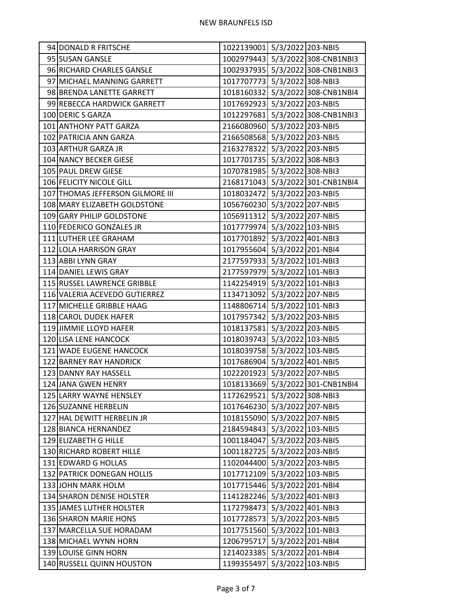| 94 DONALD R FRITSCHE             | 1022139001 5/3/2022 203-NBI5 |                   |                                  |
|----------------------------------|------------------------------|-------------------|----------------------------------|
| 95 SUSAN GANSLE                  |                              |                   | 1002979443 5/3/2022 308-CNB1NBI3 |
| 96 RICHARD CHARLES GANSLE        |                              |                   | 1002937935 5/3/2022 308-CNB1NBI3 |
| 97 MICHAEL MANNING GARRETT       | 1017707773 5/3/2022 308-NBI3 |                   |                                  |
| 98 BRENDA LANETTE GARRETT        |                              |                   | 1018160332 5/3/2022 308-CNB1NBI4 |
| 99 REBECCA HARDWICK GARRETT      | 1017692923 5/3/2022 203-NBI5 |                   |                                  |
| 100 DERIC S GARZA                |                              |                   | 1012297681 5/3/2022 308-CNB1NBI3 |
| 101 ANTHONY PATT GARZA           | 2166080960 5/3/2022 203-NBI5 |                   |                                  |
| 102 PATRICIA ANN GARZA           | 2166508568 5/3/2022 203-NBI5 |                   |                                  |
| 103 ARTHUR GARZA JR              | 2163278322 5/3/2022 203-NBI5 |                   |                                  |
| 104 NANCY BECKER GIESE           | 1017701735 5/3/2022 308-NBI3 |                   |                                  |
| 105 PAUL DREW GIESE              | 1070781985 5/3/2022 308-NBI3 |                   |                                  |
| 106 FELICITY NICOLE GILL         |                              |                   | 2168171043 5/3/2022 301-CNB1NBI4 |
| 107 THOMAS JEFFERSON GILMORE III | 1018032472 5/3/2022 203-NBI5 |                   |                                  |
| 108 MARY ELIZABETH GOLDSTONE     | 1056760230 5/3/2022 207-NBI5 |                   |                                  |
| 109 GARY PHILIP GOLDSTONE        | 1056911312 5/3/2022 207-NBI5 |                   |                                  |
| 110 FEDERICO GONZALES JR         | 1017779974 5/3/2022 103-NBI5 |                   |                                  |
| 111 LUTHER LEE GRAHAM            | 1017701892 5/3/2022 401-NBI3 |                   |                                  |
| 112 LOLA HARRISON GRAY           | 1017955604 5/3/2022 201-NBI4 |                   |                                  |
| 113 ABBI LYNN GRAY               | 2177597933 5/3/2022 101-NBI3 |                   |                                  |
| 114 DANIEL LEWIS GRAY            | 2177597979 5/3/2022 101-NBI3 |                   |                                  |
| 115 RUSSEL LAWRENCE GRIBBLE      | 1142254919 5/3/2022 101-NBI3 |                   |                                  |
| 116 VALERIA ACEVEDO GUTIERREZ    | 1134713092 5/3/2022 207-NBI5 |                   |                                  |
| 117 MICHELLE GRIBBLE HAAG        | 1148806714 5/3/2022 101-NBI3 |                   |                                  |
| 118 CAROL DUDEK HAFER            | 1017957342 5/3/2022 203-NBI5 |                   |                                  |
| 119 JIMMIE LLOYD HAFER           | 1018137581 5/3/2022 203-NBI5 |                   |                                  |
| 120 LISA LENE HANCOCK            | 1018039743 5/3/2022 103-NBI5 |                   |                                  |
| 121 WADE EUGENE HANCOCK          | 1018039758 5/3/2022 103-NBI5 |                   |                                  |
| 122 BARNEY RAY HANDRICK          | 1017686904 5/3/2022 401-NBI5 |                   |                                  |
| 123 DANNY RAY HASSELL            | 1022201923 5/3/2022 207-NBI5 |                   |                                  |
| 124 JANA GWEN HENRY              |                              |                   | 1018133669 5/3/2022 301-CNB1NBI4 |
| 125 LARRY WAYNE HENSLEY          | 1172629521 5/3/2022 308-NBI3 |                   |                                  |
| 126 SUZANNE HERBELIN             | 1017646230 5/3/2022 207-NBI5 |                   |                                  |
| 127 HAL DEWITT HERBELIN JR       | 1018155090 5/3/2022 207-NBI5 |                   |                                  |
| 128 BIANCA HERNANDEZ             | 2184594843 5/3/2022 103-NBI5 |                   |                                  |
| 129 ELIZABETH G HILLE            | 1001184047 5/3/2022 203-NBI5 |                   |                                  |
| 130 RICHARD ROBERT HILLE         | 1001182725 5/3/2022 203-NBI5 |                   |                                  |
| 131 EDWARD G HOLLAS              | 1102044400 5/3/2022 203-NBI5 |                   |                                  |
| 132 PATRICK DONEGAN HOLLIS       | 1017712109 5/3/2022 103-NBI5 |                   |                                  |
| 133 JOHN MARK HOLM               | 1017715446                   | 5/3/2022 201-NBI4 |                                  |
| 134 SHARON DENISE HOLSTER        | 1141282246 5/3/2022 401-NBI3 |                   |                                  |
| 135 JAMES LUTHER HOLSTER         | 1172798473 5/3/2022 401-NBI3 |                   |                                  |
| 136 SHARON MARIE HONS            | 1017728573 5/3/2022 203-NBI5 |                   |                                  |
| 137 MARCELLA SUE HORADAM         | 1017751560                   | 5/3/2022 101-NBI3 |                                  |
| 138 MICHAEL WYNN HORN            | 1206795717                   |                   | 5/3/2022 201-NBI4                |
| 139 LOUISE GINN HORN             | 1214023385 5/3/2022 201-NBI4 |                   |                                  |
| 140 RUSSELL QUINN HOUSTON        | 1199355497 5/3/2022 103-NBI5 |                   |                                  |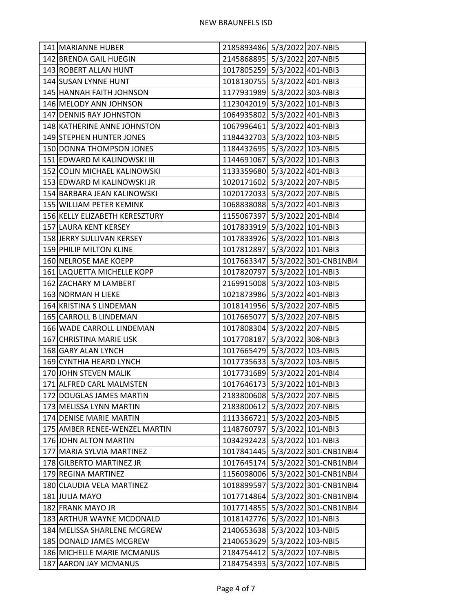| 141 MARIANNE HUBER             | 2185893486 5/3/2022 207-NBI5     |
|--------------------------------|----------------------------------|
| 142 BRENDA GAIL HUEGIN         | 2145868895 5/3/2022 207-NBI5     |
| 143 ROBERT ALLAN HUNT          | 1017805259 5/3/2022 401-NBI3     |
| 144 SUSAN LYNNE HUNT           | 1018130755 5/3/2022 401-NBI3     |
| 145 HANNAH FAITH JOHNSON       | 1177931989 5/3/2022 303-NBI3     |
| 146 MELODY ANN JOHNSON         | 1123042019 5/3/2022 101-NBI3     |
| 147 DENNIS RAY JOHNSTON        | 1064935802 5/3/2022 401-NBI3     |
| 148 KATHERINE ANNE JOHNSTON    | 1067996461 5/3/2022 401-NBI3     |
| 149 STEPHEN HUNTER JONES       | 1184432703 5/3/2022 103-NBI5     |
| 150 DONNA THOMPSON JONES       | 1184432695 5/3/2022 103-NBI5     |
| 151 EDWARD M KALINOWSKI III    | 1144691067 5/3/2022 101-NBI3     |
| 152 COLIN MICHAEL KALINOWSKI   | 1133359680 5/3/2022 401-NBI3     |
| 153 EDWARD M KALINOWSKI JR     | 1020171602 5/3/2022 207-NBI5     |
| 154 BARBARA JEAN KALINOWSKI    | 1020172033 5/3/2022 207-NBI5     |
| 155 WILLIAM PETER KEMINK       | 1068838088 5/3/2022 401-NBI3     |
| 156 KELLY ELIZABETH KERESZTURY | 1155067397 5/3/2022 201-NBI4     |
| 157 LAURA KENT KERSEY          | 1017833919 5/3/2022 101-NBI3     |
| 158 JERRY SULLIVAN KERSEY      | 1017833926 5/3/2022 101-NBI3     |
| 159 PHILIP MILTON KLINE        | 1017812897 5/3/2022 101-NBI3     |
| 160 NELROSE MAE KOEPP          | 1017663347 5/3/2022 301-CNB1NBI4 |
| 161 LAQUETTA MICHELLE KOPP     | 1017820797 5/3/2022 101-NBI3     |
| 162 ZACHARY M LAMBERT          | 2169915008 5/3/2022 103-NBI5     |
| 163 NORMAN H LIEKE             | 1021873986 5/3/2022 401-NBI3     |
| 164 KRISTINA S LINDEMAN        | 1018141956 5/3/2022 207-NBI5     |
| 165 CARROLL B LINDEMAN         | 1017665077 5/3/2022 207-NBI5     |
| 166 WADE CARROLL LINDEMAN      | 1017808304 5/3/2022 207-NBI5     |
| 167 CHRISTINA MARIE LISK       | 1017708187 5/3/2022 308-NBI3     |
| 168 GARY ALAN LYNCH            | 1017665479 5/3/2022 103-NBI5     |
| 169 CYNTHIA HEARD LYNCH        | 1017735633 5/3/2022 103-NBI5     |
| 170 JOHN STEVEN MALIK          | 1017731689 5/3/2022 201-NBI4     |
| 171 ALFRED CARL MALMSTEN       | 1017646173 5/3/2022 101-NBI3     |
| 172 DOUGLAS JAMES MARTIN       | 2183800608 5/3/2022 207-NBI5     |
| 173 MELISSA LYNN MARTIN        | 2183800612 5/3/2022 207-NBI5     |
| 174 DENISE MARIE MARTIN        | 1113366721 5/3/2022 203-NBI5     |
| 175 AMBER RENEE-WENZEL MARTIN  | 1148760797 5/3/2022 101-NBI3     |
| 176 JOHN ALTON MARTIN          | 1034292423 5/3/2022 101-NBI3     |
| 177 MARIA SYLVIA MARTINEZ      | 1017841445 5/3/2022 301-CNB1NBI4 |
| 178 GILBERTO MARTINEZ JR       | 1017645174 5/3/2022 301-CNB1NBI4 |
| 179 REGINA MARTINEZ            | 1156098006 5/3/2022 301-CNB1NBI4 |
| 180 CLAUDIA VELA MARTINEZ      | 1018899597 5/3/2022 301-CNB1NBI4 |
| 181 JULIA MAYO                 | 1017714864 5/3/2022 301-CNB1NBI4 |
| 182 FRANK MAYO JR              | 1017714855 5/3/2022 301-CNB1NBI4 |
| 183 ARTHUR WAYNE MCDONALD      | 1018142776 5/3/2022 101-NBI3     |
| 184 MELISSA SHARLENE MCGREW    | 2140653638 5/3/2022 103-NBI5     |
| 185 DONALD JAMES MCGREW        | 2140653629 5/3/2022 103-NBI5     |
| 186 MICHELLE MARIE MCMANUS     | 2184754412 5/3/2022 107-NBI5     |
| 187 AARON JAY MCMANUS          | 2184754393 5/3/2022 107-NBI5     |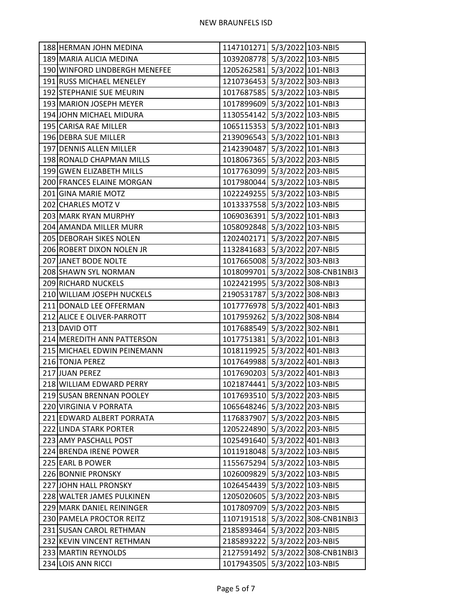| 1039208778 5/3/2022 103-NBI5<br>189 MARIA ALICIA MEDINA<br>1205262581 5/3/2022 101-NBI3<br>190 WINFORD LINDBERGH MENEFEE |  |
|--------------------------------------------------------------------------------------------------------------------------|--|
|                                                                                                                          |  |
|                                                                                                                          |  |
| 191 RUSS MICHAEL MENELEY<br>1210736453 5/3/2022 303-NBI3                                                                 |  |
| 1017687585 5/3/2022 103-NBI5<br>192 STEPHANIE SUE MEURIN                                                                 |  |
| 1017899609 5/3/2022 101-NBI3<br>193 MARION JOSEPH MEYER                                                                  |  |
| 1130554142 5/3/2022 103-NBI5<br>194 JOHN MICHAEL MIDURA                                                                  |  |
| 1065115353 5/3/2022 101-NBI3<br>195 CARISA RAE MILLER                                                                    |  |
| 2139096543 5/3/2022 101-NBI3<br>196 DEBRA SUE MILLER                                                                     |  |
| 2142390487 5/3/2022 101-NBI3<br>197 DENNIS ALLEN MILLER                                                                  |  |
| 1018067365 5/3/2022 203-NBI5<br>198 RONALD CHAPMAN MILLS                                                                 |  |
| 1017763099 5/3/2022 203-NBI5<br>199 GWEN ELIZABETH MILLS                                                                 |  |
| 1017980044 5/3/2022 103-NBI5<br>200 FRANCES ELAINE MORGAN                                                                |  |
| 1022249255 5/3/2022 103-NBI5<br>201 GINA MARIE MOTZ                                                                      |  |
| 1013337558 5/3/2022 103-NBI5<br>202 CHARLES MOTZ V                                                                       |  |
| 1069036391 5/3/2022 101-NBI3<br>203 MARK RYAN MURPHY                                                                     |  |
| 1058092848 5/3/2022 103-NBI5<br>204 AMANDA MILLER MURR                                                                   |  |
| 1202402171 5/3/2022 207-NBI5<br>205 DEBORAH SIKES NOLEN                                                                  |  |
| 1132841683 5/3/2022 207-NBI5<br>206 ROBERT DIXON NOLEN JR                                                                |  |
| 1017665008 5/3/2022 303-NBI3<br>207 JANET BODE NOLTE                                                                     |  |
| 1018099701 5/3/2022 308-CNB1NBI3<br>208 SHAWN SYL NORMAN                                                                 |  |
| 1022421995 5/3/2022 308-NBI3<br>209 RICHARD NUCKELS                                                                      |  |
| 210 WILLIAM JOSEPH NUCKELS<br>2190531787 5/3/2022 308-NBI3                                                               |  |
| 1017776978 5/3/2022 401-NBI3<br>211 DONALD LEE OFFERMAN                                                                  |  |
| 1017959262 5/3/2022 308-NBI4<br>212 ALICE E OLIVER-PARROTT                                                               |  |
| 1017688549 5/3/2022 302-NBI1<br>213 DAVID OTT                                                                            |  |
| 1017751381 5/3/2022 101-NBI3<br>214 MEREDITH ANN PATTERSON                                                               |  |
| 215 MICHAEL EDWIN PEINEMANN<br>1018119925 5/3/2022 401-NBI3                                                              |  |
| 1017649988 5/3/2022 401-NBI3<br>216 TONJA PEREZ                                                                          |  |
| 1017690203 5/3/2022 401-NBI3<br>217 JUAN PEREZ                                                                           |  |
| 1021874441 5/3/2022 103-NBI5<br>218 WILLIAM EDWARD PERRY                                                                 |  |
| 1017693510 5/3/2022 203-NBI5<br>219 SUSAN BRENNAN POOLEY                                                                 |  |
| 1065648246 5/3/2022 203-NBI5<br>220 VIRGINIA V PORRATA                                                                   |  |
| 1176837907 5/3/2022 203-NBI5<br>221 EDWARD ALBERT PORRATA                                                                |  |
| 222 LINDA STARK PORTER<br>1205224890 5/3/2022 203-NBI5                                                                   |  |
| 223 AMY PASCHALL POST<br>1025491640 5/3/2022 401-NBI3                                                                    |  |
| 1011918048 5/3/2022 103-NBI5<br>224 BRENDA IRENE POWER                                                                   |  |
| 1155675294 5/3/2022 103-NBI5<br>225 EARL B POWER                                                                         |  |
| 1026009829 5/3/2022 103-NBI5<br>226 BONNIE PRONSKY                                                                       |  |
| 1026454439 5/3/2022 103-NBI5<br>227 JOHN HALL PRONSKY                                                                    |  |
| 1205020605 5/3/2022 203-NBI5<br>228 WALTER JAMES PULKINEN                                                                |  |
| 1017809709 5/3/2022 203-NBI5<br>229 MARK DANIEL REININGER                                                                |  |
| 1107191518 5/3/2022 308-CNB1NBI3<br>230 PAMELA PROCTOR REITZ                                                             |  |
| 231 SUSAN CAROL RETHMAN<br>2185893464<br>5/3/2022 203-NBI5                                                               |  |
| 2185893222 5/3/2022 203-NBI5<br>232 KEVIN VINCENT RETHMAN                                                                |  |
| 2127591492 5/3/2022 308-CNB1NBI3<br>233 MARTIN REYNOLDS                                                                  |  |
| 234 LOIS ANN RICCI<br>1017943505 5/3/2022 103-NBI5                                                                       |  |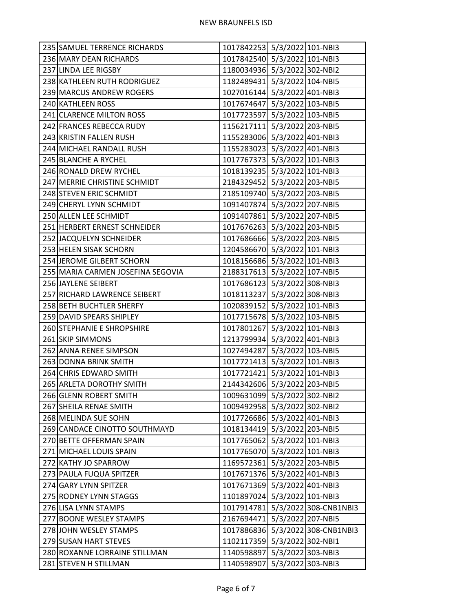| 235 SAMUEL TERRENCE RICHARDS      | 1017842253 5/3/2022 101-NBI3 |                                  |
|-----------------------------------|------------------------------|----------------------------------|
| 236 MARY DEAN RICHARDS            | 1017842540 5/3/2022 101-NBI3 |                                  |
| 237 LINDA LEE RIGSBY              | 1180034936 5/3/2022 302-NBI2 |                                  |
| 238 KATHLEEN RUTH RODRIGUEZ       | 1182489431 5/3/2022 104-NBI5 |                                  |
| 239 MARCUS ANDREW ROGERS          | 1027016144 5/3/2022 401-NBI3 |                                  |
| 240 KATHLEEN ROSS                 | 1017674647 5/3/2022 103-NBI5 |                                  |
| 241 CLARENCE MILTON ROSS          | 1017723597 5/3/2022 103-NBI5 |                                  |
| 242 FRANCES REBECCA RUDY          | 1156217111 5/3/2022 203-NBI5 |                                  |
| 243 KRISTIN FALLEN RUSH           | 1155283006 5/3/2022 401-NBI3 |                                  |
| 244 MICHAEL RANDALL RUSH          | 1155283023 5/3/2022 401-NBI3 |                                  |
| 245 BLANCHE A RYCHEL              | 1017767373 5/3/2022 101-NBI3 |                                  |
| 246 RONALD DREW RYCHEL            | 1018139235 5/3/2022 101-NBI3 |                                  |
| 247 MERRIE CHRISTINE SCHMIDT      | 2184329452 5/3/2022 203-NBI5 |                                  |
| 248 STEVEN ERIC SCHMIDT           | 2185109740 5/3/2022 203-NBI5 |                                  |
| 249 CHERYL LYNN SCHMIDT           | 1091407874 5/3/2022 207-NBI5 |                                  |
| 250 ALLEN LEE SCHMIDT             | 1091407861 5/3/2022 207-NBI5 |                                  |
| 251 HERBERT ERNEST SCHNEIDER      | 1017676263 5/3/2022 203-NBI5 |                                  |
| 252 JACQUELYN SCHNEIDER           | 1017686666 5/3/2022 203-NBI5 |                                  |
| 253 HELEN SISAK SCHORN            | 1204586670 5/3/2022 101-NBI3 |                                  |
| 254 JEROME GILBERT SCHORN         | 1018156686 5/3/2022 101-NBI3 |                                  |
| 255 MARIA CARMEN JOSEFINA SEGOVIA | 2188317613 5/3/2022 107-NBI5 |                                  |
| 256 JAYLENE SEIBERT               | 1017686123 5/3/2022 308-NBI3 |                                  |
| 257 RICHARD LAWRENCE SEIBERT      | 1018113237 5/3/2022 308-NBI3 |                                  |
| 258 BETH BUCHTLER SHERFY          | 1020839152 5/3/2022 101-NBI3 |                                  |
| 259 DAVID SPEARS SHIPLEY          | 1017715678 5/3/2022 103-NBI5 |                                  |
| 260 STEPHANIE E SHROPSHIRE        | 1017801267 5/3/2022 101-NBI3 |                                  |
| 261 SKIP SIMMONS                  | 1213799934 5/3/2022 401-NBI3 |                                  |
| 262 ANNA RENEE SIMPSON            | 1027494287 5/3/2022 103-NBI5 |                                  |
| 263 DONNA BRINK SMITH             | 1017721413 5/3/2022 101-NBI3 |                                  |
| 264 CHRIS EDWARD SMITH            | 1017721421 5/3/2022 101-NBI3 |                                  |
| 265 ARLETA DOROTHY SMITH          | 2144342606 5/3/2022 203-NBI5 |                                  |
| 266 GLENN ROBERT SMITH            | 1009631099 5/3/2022 302-NBI2 |                                  |
| 267 SHEILA RENAE SMITH            | 1009492958 5/3/2022 302-NBI2 |                                  |
| 268 MELINDA SUE SOHN              | 1017726686 5/3/2022 401-NBI3 |                                  |
| 269 CANDACE CINOTTO SOUTHMAYD     | 1018134419 5/3/2022 203-NBI5 |                                  |
| 270 BETTE OFFERMAN SPAIN          | 1017765062 5/3/2022 101-NBI3 |                                  |
| 271 MICHAEL LOUIS SPAIN           | 1017765070 5/3/2022 101-NBI3 |                                  |
| 272 KATHY JO SPARROW              | 1169572361 5/3/2022 203-NBI5 |                                  |
| 273 PAULA FUQUA SPITZER           | 1017671376 5/3/2022 401-NBI3 |                                  |
| 274 GARY LYNN SPITZER             | 1017671369 5/3/2022 401-NBI3 |                                  |
| 275 RODNEY LYNN STAGGS            | 1101897024 5/3/2022 101-NBI3 |                                  |
| 276 LISA LYNN STAMPS              |                              | 1017914781 5/3/2022 308-CNB1NBI3 |
| 277 BOONE WESLEY STAMPS           | 2167694471 5/3/2022 207-NBI5 |                                  |
| 278 JOHN WESLEY STAMPS            |                              | 1017886836 5/3/2022 308-CNB1NBI3 |
| 279 SUSAN HART STEVES             | 1102117359 5/3/2022 302-NBI1 |                                  |
| 280 ROXANNE LORRAINE STILLMAN     | 1140598897 5/3/2022 303-NBI3 |                                  |
| 281 STEVEN H STILLMAN             | 1140598907 5/3/2022 303-NBI3 |                                  |